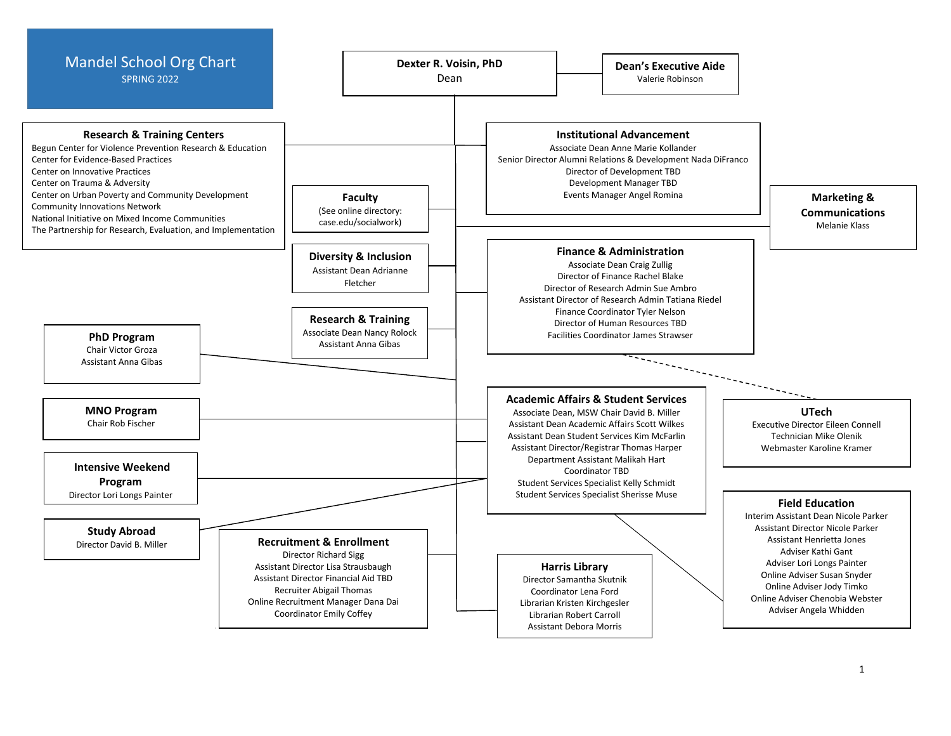